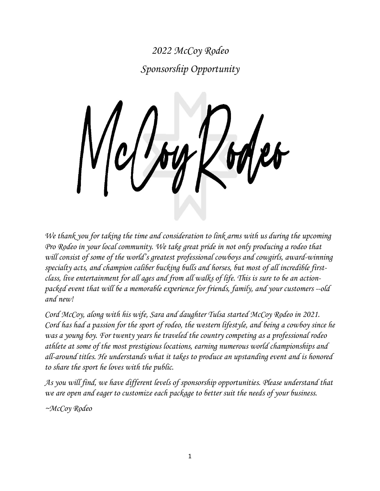*2022 McCoy Rodeo Sponsorship Opportunity*

*We thank you for taking the time and consideration to link arms with us during the upcoming Pro Rodeo in your local community. We take great pride in not only producing a rodeo that will consist of some of the world's greatest professional cowboys and cowgirls, award-winning specialty acts, and champion caliber bucking bulls and horses, but most of all incredible firstclass, live entertainment for all ages and from all walks of life. This is sure to be an actionpacked event that will be a memorable experience for friends, family, and your customers --old and new!*

*Cord McCoy, along with his wife, Sara and daughter Tulsa started McCoy Rodeo in 2021. Cord has had a passion for the sport of rodeo, the western lifestyle, and being a cowboy since he was a young boy. For twenty years he traveled the country competing as a professional rodeo athlete at some of the most prestigious locations, earning numerous world championships and all-around titles. He understands what it takes to produce an upstanding event and is honored to share the sport he loves with the public.* 

*As you will find, we have different levels of sponsorship opportunities. Please understand that we are open and eager to customize each package to better suit the needs of your business.*

*~McCoy Rodeo*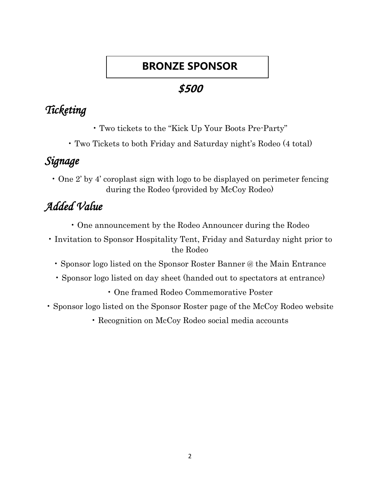# **BRONZE SPONSOR**

## **\$500**

# *Ticketing*

- Two tickets to the "Kick Up Your Boots Pre-Party"
- Two Tickets to both Friday and Saturday night's Rodeo (4 total)

# *Signage*

• One 2' by 4' coroplast sign with logo to be displayed on perimeter fencing during the Rodeo (provided by McCoy Rodeo)

# *Added Value*

- One announcement by the Rodeo Announcer during the Rodeo
- Invitation to Sponsor Hospitality Tent, Friday and Saturday night prior to the Rodeo
	- Sponsor logo listed on the Sponsor Roster Banner @ the Main Entrance
	- Sponsor logo listed on day sheet (handed out to spectators at entrance)
		- One framed Rodeo Commemorative Poster
- Sponsor logo listed on the Sponsor Roster page of the McCoy Rodeo website
	- Recognition on McCoy Rodeo social media accounts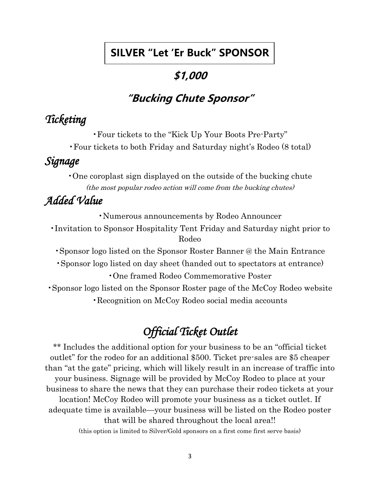### **SILVER "Let 'Er Buck" SPONSOR**

### **\$1,000**

# **"Bucking Chute Sponsor"**

# *Ticketing*

•Four tickets to the "Kick Up Your Boots Pre-Party" •Four tickets to both Friday and Saturday night's Rodeo (8 total)

## *Signage*

•One coroplast sign displayed on the outside of the bucking chute (the most popular rodeo action will come from the bucking chutes)

# *Added Value*

•Numerous announcements by Rodeo Announcer

•Invitation to Sponsor Hospitality Tent Friday and Saturday night prior to Rodeo

•Sponsor logo listed on the Sponsor Roster Banner @ the Main Entrance

•Sponsor logo listed on day sheet (handed out to spectators at entrance) •One framed Rodeo Commemorative Poster

•Sponsor logo listed on the Sponsor Roster page of the McCoy Rodeo website •Recognition on McCoy Rodeo social media accounts

# *Official Ticket Outlet*

\*\* Includes the additional option for your business to be an "official ticket" outlet" for the rodeo for an additional \$500. Ticket pre-sales are \$5 cheaper than "at the gate" pricing, which will likely result in an increase of traffic into your business. Signage will be provided by McCoy Rodeo to place at your business to share the news that they can purchase their rodeo tickets at your location! McCoy Rodeo will promote your business as a ticket outlet. If adequate time is available—your business will be listed on the Rodeo poster that will be shared throughout the local area!! (this option is limited to Silver/Gold sponsors on a first come first serve basis)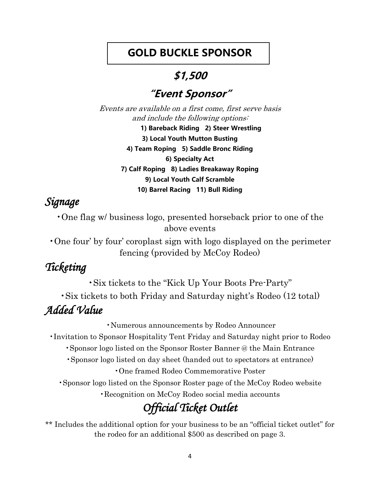### **GOLD BUCKLE SPONSOR**

### **\$1,500**

### **"Event Sponsor"**

Events are available on a first come, first serve basis and include the following options: **1) Bareback Riding 2) Steer Wrestling 3) Local Youth Mutton Busting 4) Team Roping 5) Saddle Bronc Riding 6) Specialty Act 7) Calf Roping 8) Ladies Breakaway Roping 9) Local Youth Calf Scramble 10) Barrel Racing 11) Bull Riding**

# *Signage*

•One flag w/ business logo, presented horseback prior to one of the above events

•One four' by four' coroplast sign with logo displayed on the perimeter fencing (provided by McCoy Rodeo)

# *Ticketing*

•Six tickets to the "Kick Up Your Boots Pre-Party" •Six tickets to both Friday and Saturday night's Rodeo (12 total) *Added Value* 

•Numerous announcements by Rodeo Announcer •Invitation to Sponsor Hospitality Tent Friday and Saturday night prior to Rodeo •Sponsor logo listed on the Sponsor Roster Banner @ the Main Entrance •Sponsor logo listed on day sheet (handed out to spectators at entrance) •One framed Rodeo Commemorative Poster •Sponsor logo listed on the Sponsor Roster page of the McCoy Rodeo website •Recognition on McCoy Rodeo social media accounts *Official Ticket Outlet* 

\*\* Includes the additional option for your business to be an "official ticket outlet" for the rodeo for an additional \$500 as described on page 3.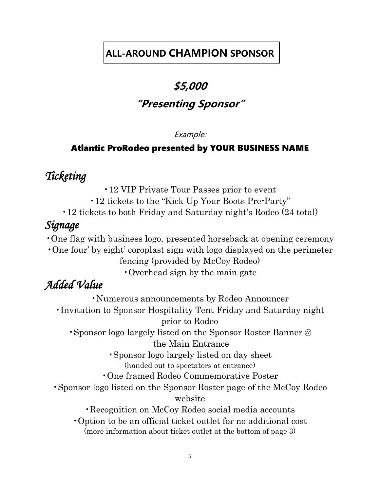### **ALL-AROUND CHAMPION SPONSOR**

# **\$5,000 "Presenting Sponsor"**

#### Example:

#### Atlantic ProRodeo presented by YOUR BUSINESS NAME

### *Ticketing*

•12 VIP Private Tour Passes prior to event

•12 tickets to the "Kick Up Your Boots Pre-Party"

•12 tickets to both Friday and Saturday night's Rodeo (24 total)

### *Signage*

•One flag with business logo, presented horseback at opening ceremony

•One four' by eight' coroplast sign with logo displayed on the perimeter fencing (provided by McCoy Rodeo)

•Overhead sign by the main gate

### *Added Value*

•Numerous announcements by Rodeo Announcer •Invitation to Sponsor Hospitality Tent Friday and Saturday night prior to Rodeo •Sponsor logo largely listed on the Sponsor Roster Banner @ the Main Entrance •Sponsor logo largely listed on day sheet (handed out to spectators at entrance) •One framed Rodeo Commemorative Poster •Sponsor logo listed on the Sponsor Roster page of the McCoy Rodeo website •Recognition on McCoy Rodeo social media accounts •Option to be an official ticket outlet for no additional cost (more information about ticket outlet at the bottom of page 3)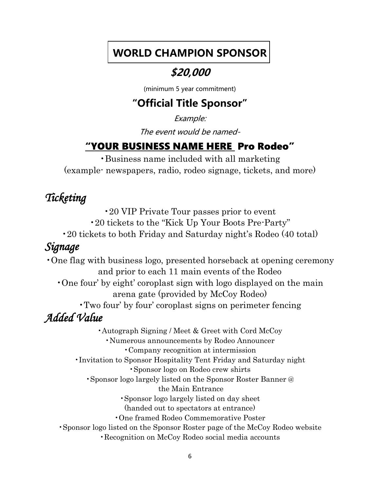### **WORLD CHAMPION SPONSOR**

### **\$20,000**

(minimum 5 year commitment)

### **"Official Title Sponsor"**

Example:

The event would be named-

### "YOUR BUSINESS NAME HERE Pro Rodeo"

•Business name included with all marketing (example- newspapers, radio, rodeo signage, tickets, and more)

### *Ticketing*

•20 VIP Private Tour passes prior to event

•20 tickets to the "Kick Up Your Boots Pre-Party"

•20 tickets to both Friday and Saturday night's Rodeo (40 total)

### *Signage*

•One flag with business logo, presented horseback at opening ceremony and prior to each 11 main events of the Rodeo •One four' by eight' coroplast sign with logo displayed on the main arena gate (provided by McCoy Rodeo) •Two four' by four' coroplast signs on perimeter fencing *Added Value*  •Autograph Signing / Meet & Greet with Cord McCoy •Numerous announcements by Rodeo Announcer •Company recognition at intermission •Invitation to Sponsor Hospitality Tent Friday and Saturday night •Sponsor logo on Rodeo crew shirts •Sponsor logo largely listed on the Sponsor Roster Banner @ the Main Entrance •Sponsor logo largely listed on day sheet (handed out to spectators at entrance) •One framed Rodeo Commemorative Poster

•Sponsor logo listed on the Sponsor Roster page of the McCoy Rodeo website

•Recognition on McCoy Rodeo social media accounts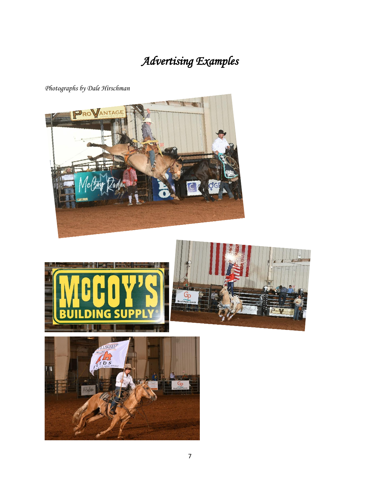# *Advertising Examples*

*Photographs by Dale Hirschman*